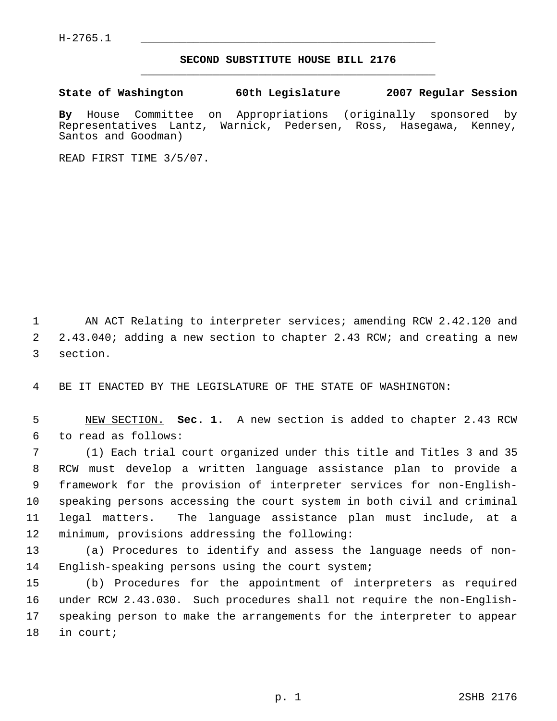## **SECOND SUBSTITUTE HOUSE BILL 2176** \_\_\_\_\_\_\_\_\_\_\_\_\_\_\_\_\_\_\_\_\_\_\_\_\_\_\_\_\_\_\_\_\_\_\_\_\_\_\_\_\_\_\_\_\_

**State of Washington 60th Legislature 2007 Regular Session**

**By** House Committee on Appropriations (originally sponsored by Representatives Lantz, Warnick, Pedersen, Ross, Santos and Goodman)

READ FIRST TIME 3/5/07.

1 AN ACT Relating to interpreter services; amending RCW 2.42.120 and 2.43.040; adding a new section to chapter 2.43 RCW; and creating a new section.

BE IT ENACTED BY THE LEGISLATURE OF THE STATE OF WASHINGTON:

 NEW SECTION. **Sec. 1.** A new section is added to chapter 2.43 RCW to read as follows:

 (1) Each trial court organized under this title and Titles 3 and 35 RCW must develop a written language assistance plan to provide a framework for the provision of interpreter services for non-English- speaking persons accessing the court system in both civil and criminal legal matters. The language assistance plan must include, at a minimum, provisions addressing the following:

 (a) Procedures to identify and assess the language needs of non-English-speaking persons using the court system;

 (b) Procedures for the appointment of interpreters as required under RCW 2.43.030. Such procedures shall not require the non-English- speaking person to make the arrangements for the interpreter to appear in court;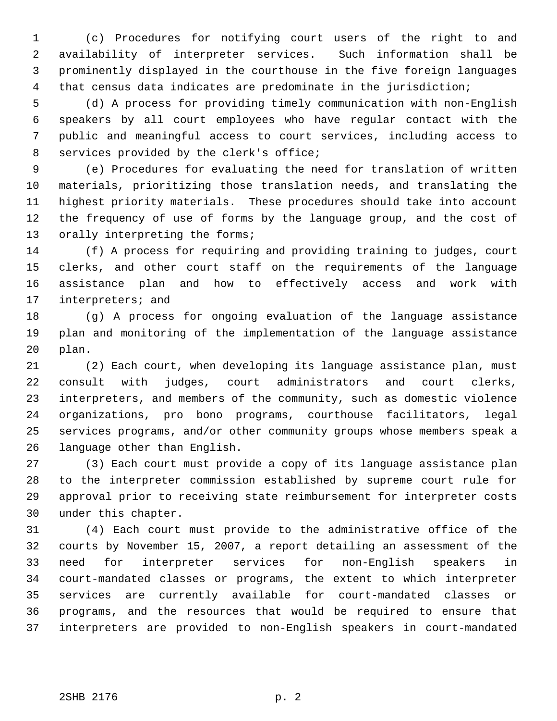(c) Procedures for notifying court users of the right to and availability of interpreter services. Such information shall be prominently displayed in the courthouse in the five foreign languages that census data indicates are predominate in the jurisdiction;

 (d) A process for providing timely communication with non-English speakers by all court employees who have regular contact with the public and meaningful access to court services, including access to services provided by the clerk's office;

 (e) Procedures for evaluating the need for translation of written materials, prioritizing those translation needs, and translating the highest priority materials. These procedures should take into account the frequency of use of forms by the language group, and the cost of 13 orally interpreting the forms;

 (f) A process for requiring and providing training to judges, court clerks, and other court staff on the requirements of the language assistance plan and how to effectively access and work with interpreters; and

 (g) A process for ongoing evaluation of the language assistance plan and monitoring of the implementation of the language assistance plan.

 (2) Each court, when developing its language assistance plan, must consult with judges, court administrators and court clerks, interpreters, and members of the community, such as domestic violence organizations, pro bono programs, courthouse facilitators, legal services programs, and/or other community groups whose members speak a language other than English.

 (3) Each court must provide a copy of its language assistance plan to the interpreter commission established by supreme court rule for approval prior to receiving state reimbursement for interpreter costs under this chapter.

 (4) Each court must provide to the administrative office of the courts by November 15, 2007, a report detailing an assessment of the need for interpreter services for non-English speakers in court-mandated classes or programs, the extent to which interpreter services are currently available for court-mandated classes or programs, and the resources that would be required to ensure that interpreters are provided to non-English speakers in court-mandated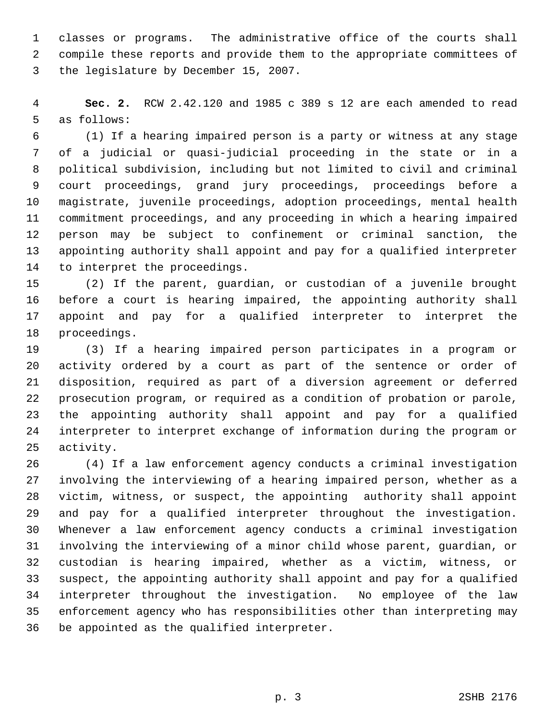classes or programs. The administrative office of the courts shall compile these reports and provide them to the appropriate committees of the legislature by December 15, 2007.

 **Sec. 2.** RCW 2.42.120 and 1985 c 389 s 12 are each amended to read as follows:

 (1) If a hearing impaired person is a party or witness at any stage of a judicial or quasi-judicial proceeding in the state or in a political subdivision, including but not limited to civil and criminal court proceedings, grand jury proceedings, proceedings before a magistrate, juvenile proceedings, adoption proceedings, mental health commitment proceedings, and any proceeding in which a hearing impaired person may be subject to confinement or criminal sanction, the appointing authority shall appoint and pay for a qualified interpreter to interpret the proceedings.

 (2) If the parent, guardian, or custodian of a juvenile brought before a court is hearing impaired, the appointing authority shall appoint and pay for a qualified interpreter to interpret the proceedings.

 (3) If a hearing impaired person participates in a program or activity ordered by a court as part of the sentence or order of disposition, required as part of a diversion agreement or deferred prosecution program, or required as a condition of probation or parole, the appointing authority shall appoint and pay for a qualified interpreter to interpret exchange of information during the program or activity.

 (4) If a law enforcement agency conducts a criminal investigation involving the interviewing of a hearing impaired person, whether as a victim, witness, or suspect, the appointing authority shall appoint and pay for a qualified interpreter throughout the investigation. Whenever a law enforcement agency conducts a criminal investigation involving the interviewing of a minor child whose parent, guardian, or custodian is hearing impaired, whether as a victim, witness, or suspect, the appointing authority shall appoint and pay for a qualified interpreter throughout the investigation. No employee of the law enforcement agency who has responsibilities other than interpreting may be appointed as the qualified interpreter.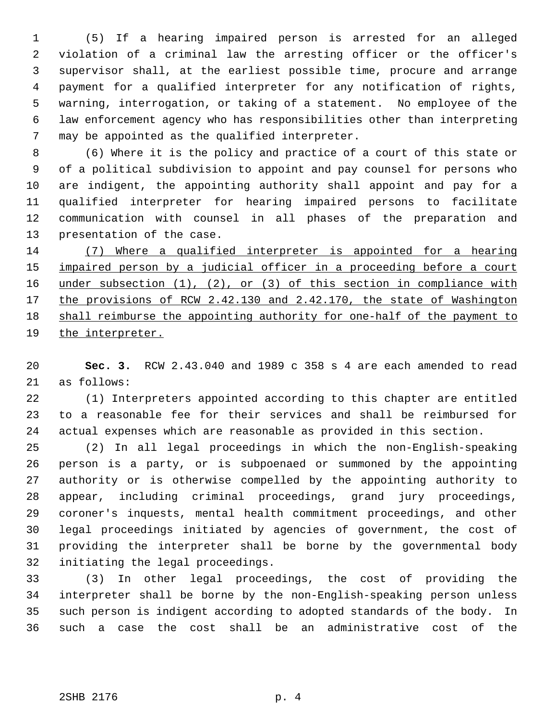(5) If a hearing impaired person is arrested for an alleged violation of a criminal law the arresting officer or the officer's supervisor shall, at the earliest possible time, procure and arrange payment for a qualified interpreter for any notification of rights, warning, interrogation, or taking of a statement. No employee of the law enforcement agency who has responsibilities other than interpreting may be appointed as the qualified interpreter.

 (6) Where it is the policy and practice of a court of this state or of a political subdivision to appoint and pay counsel for persons who are indigent, the appointing authority shall appoint and pay for a qualified interpreter for hearing impaired persons to facilitate communication with counsel in all phases of the preparation and presentation of the case.

 (7) Where a qualified interpreter is appointed for a hearing 15 impaired person by a judicial officer in a proceeding before a court 16 under subsection (1), (2), or (3) of this section in compliance with 17 the provisions of RCW 2.42.130 and 2.42.170, the state of Washington shall reimburse the appointing authority for one-half of the payment to the interpreter.

 **Sec. 3.** RCW 2.43.040 and 1989 c 358 s 4 are each amended to read as follows:

 (1) Interpreters appointed according to this chapter are entitled to a reasonable fee for their services and shall be reimbursed for actual expenses which are reasonable as provided in this section.

 (2) In all legal proceedings in which the non-English-speaking person is a party, or is subpoenaed or summoned by the appointing authority or is otherwise compelled by the appointing authority to appear, including criminal proceedings, grand jury proceedings, coroner's inquests, mental health commitment proceedings, and other legal proceedings initiated by agencies of government, the cost of providing the interpreter shall be borne by the governmental body initiating the legal proceedings.

 (3) In other legal proceedings, the cost of providing the interpreter shall be borne by the non-English-speaking person unless such person is indigent according to adopted standards of the body. In such a case the cost shall be an administrative cost of the